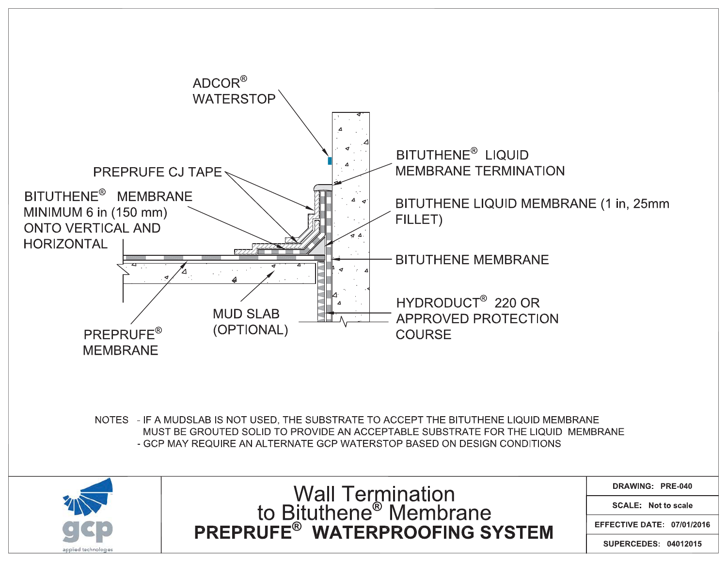

NOTES - IF A MUDSLAB IS NOT USED, THE SUBSTRATE TO ACCEPT THE BITUTHENE LIQUID MEMBRANE MUST BE GROUTED SOLID TO PROVIDE AN ACCEPTABLE SUBSTRATE FOR THE LIQUID MEMBRANE - GCP MAY REQUIRE AN ALTERNATE GCP WATERSTOP BASED ON DESIGN CONDITIONS



Wall Termination<br>to Bituthene<sup>®</sup> Membrane<br>PREPRUFE<sup>®</sup> WATERPROOFING SYSTEM

DRAWING: PRE-040

**SCALE: Not to scale** 

EFFECTIVE DATE: 07/01/2016

**SUPERCEDES: 04012015**